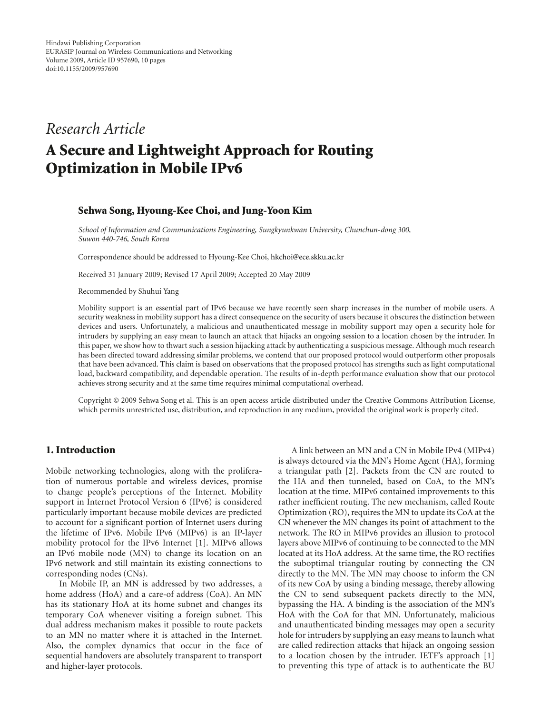## *Research Article*

# **A Secure and Lightweight Approach for Routing Optimization in Mobile IPv6**

## **Sehwa Song, Hyoung-Kee Choi, and Jung-Yoon Kim**

*School of Information and Communications Engineering, Sungkyunkwan University, Chunchun-dong 300, Suwon 440-746, South Korea*

Correspondence should be addressed to Hyoung-Kee Choi, hkchoi@ece.skku.ac.kr

Received 31 January 2009; Revised 17 April 2009; Accepted 20 May 2009

Recommended by Shuhui Yang

Mobility support is an essential part of IPv6 because we have recently seen sharp increases in the number of mobile users. A security weakness in mobility support has a direct consequence on the security of users because it obscures the distinction between devices and users. Unfortunately, a malicious and unauthenticated message in mobility support may open a security hole for intruders by supplying an easy mean to launch an attack that hijacks an ongoing session to a location chosen by the intruder. In this paper, we show how to thwart such a session hijacking attack by authenticating a suspicious message. Although much research has been directed toward addressing similar problems, we contend that our proposed protocol would outperform other proposals that have been advanced. This claim is based on observations that the proposed protocol has strengths such as light computational load, backward compatibility, and dependable operation. The results of in-depth performance evaluation show that our protocol achieves strong security and at the same time requires minimal computational overhead.

Copyright © 2009 Sehwa Song et al. This is an open access article distributed under the Creative Commons Attribution License, which permits unrestricted use, distribution, and reproduction in any medium, provided the original work is properly cited.

#### **1. Introduction**

Mobile networking technologies, along with the proliferation of numerous portable and wireless devices, promise to change people's perceptions of the Internet. Mobility support in Internet Protocol Version 6 (IPv6) is considered particularly important because mobile devices are predicted to account for a significant portion of Internet users during the lifetime of IPv6. Mobile IPv6 (MIPv6) is an IP-layer mobility protocol for the IPv6 Internet [1]. MIPv6 allows an IPv6 mobile node (MN) to change its location on an IPv6 network and still maintain its existing connections to corresponding nodes (CNs).

In Mobile IP, an MN is addressed by two addresses, a home address (HoA) and a care-of address (CoA). An MN has its stationary HoA at its home subnet and changes its temporary CoA whenever visiting a foreign subnet. This dual address mechanism makes it possible to route packets to an MN no matter where it is attached in the Internet. Also, the complex dynamics that occur in the face of sequential handovers are absolutely transparent to transport and higher-layer protocols.

A link between an MN and a CN in Mobile IPv4 (MIPv4) is always detoured via the MN's Home Agent (HA), forming a triangular path [2]. Packets from the CN are routed to the HA and then tunneled, based on CoA, to the MN's location at the time. MIPv6 contained improvements to this rather inefficient routing. The new mechanism, called Route Optimization (RO), requires the MN to update its CoA at the CN whenever the MN changes its point of attachment to the network. The RO in MIPv6 provides an illusion to protocol layers above MIPv6 of continuing to be connected to the MN located at its HoA address. At the same time, the RO rectifies the suboptimal triangular routing by connecting the CN directly to the MN. The MN may choose to inform the CN of its new CoA by using a binding message, thereby allowing the CN to send subsequent packets directly to the MN, bypassing the HA. A binding is the association of the MN's HoA with the CoA for that MN. Unfortunately, malicious and unauthenticated binding messages may open a security hole for intruders by supplying an easy means to launch what are called redirection attacks that hijack an ongoing session to a location chosen by the intruder. IETF's approach [1] to preventing this type of attack is to authenticate the BU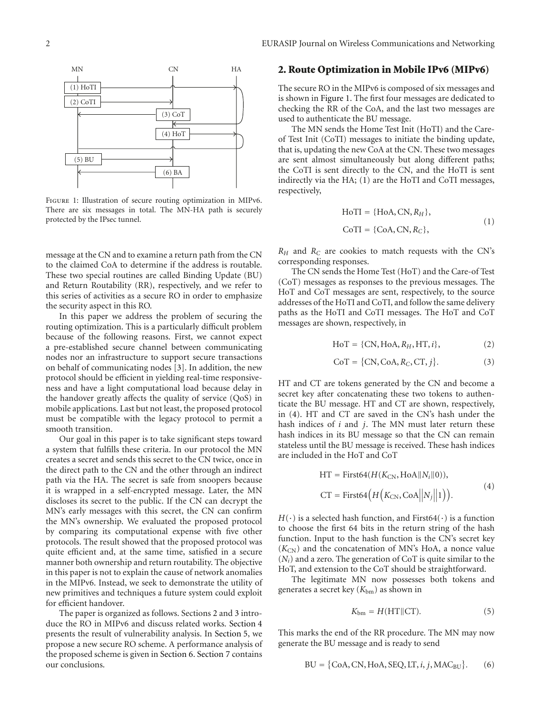

Figure 1: Illustration of secure routing optimization in MIPv6. There are six messages in total. The MN-HA path is securely protected by the IPsec tunnel.

message at the CN and to examine a return path from the CN to the claimed CoA to determine if the address is routable. These two special routines are called Binding Update (BU) and Return Routability (RR), respectively, and we refer to this series of activities as a secure RO in order to emphasize the security aspect in this RO.

In this paper we address the problem of securing the routing optimization. This is a particularly difficult problem because of the following reasons. First, we cannot expect a pre-established secure channel between communicating nodes nor an infrastructure to support secure transactions on behalf of communicating nodes [3]. In addition, the new protocol should be efficient in yielding real-time responsiveness and have a light computational load because delay in the handover greatly affects the quality of service (QoS) in mobile applications. Last but not least, the proposed protocol must be compatible with the legacy protocol to permit a smooth transition.

Our goal in this paper is to take significant steps toward a system that fulfills these criteria. In our protocol the MN creates a secret and sends this secret to the CN twice, once in the direct path to the CN and the other through an indirect path via the HA. The secret is safe from snoopers because it is wrapped in a self-encrypted message. Later, the MN discloses its secret to the public. If the CN can decrypt the MN's early messages with this secret, the CN can confirm the MN's ownership. We evaluated the proposed protocol by comparing its computational expense with five other protocols. The result showed that the proposed protocol was quite efficient and, at the same time, satisfied in a secure manner both ownership and return routability. The objective in this paper is not to explain the cause of network anomalies in the MIPv6. Instead, we seek to demonstrate the utility of new primitives and techniques a future system could exploit for efficient handover.

The paper is organized as follows. Sections 2 and 3 introduce the RO in MIPv6 and discuss related works. Section 4 presents the result of vulnerability analysis. In Section 5, we propose a new secure RO scheme. A performance analysis of the proposed scheme is given in Section 6. Section 7 contains our conclusions.

## **2. Route Optimization in Mobile IPv6 (MIPv6)**

The secure RO in the MIPv6 is composed of six messages and is shown in Figure 1. The first four messages are dedicated to checking the RR of the CoA, and the last two messages are used to authenticate the BU message.

The MN sends the Home Test Init (HoTI) and the Careof Test Init (CoTI) messages to initiate the binding update, that is, updating the new CoA at the CN. These two messages are sent almost simultaneously but along different paths; the CoTI is sent directly to the CN, and the HoTI is sent indirectly via the HA; (1) are the HoTI and CoTI messages, respectively,

$$
HoTI = \{HoA, CN, RH\},
$$
  

$$
CoTI = \{CoA, CN, RC\},
$$
 (1)

*RH* and *RC* are cookies to match requests with the CN's corresponding responses.

The CN sends the Home Test (HoT) and the Care-of Test (CoT) messages as responses to the previous messages. The HoT and CoT messages are sent, respectively, to the source addresses of the HoTI and CoTI, and follow the same delivery paths as the HoTI and CoTI messages. The HoT and CoT messages are shown, respectively, in

$$
HoT = \{CN, HoA, R_H, HT, i\},\tag{2}
$$

$$
CoT = \{CN, CoA, R_C, CT, j\}.
$$
 (3)

HT and CT are tokens generated by the CN and become a secret key after concatenating these two tokens to authenticate the BU message. HT and CT are shown, respectively, in (4). HT and CT are saved in the CN's hash under the hash indices of *i* and *j*. The MN must later return these hash indices in its BU message so that the CN can remain stateless until the BU message is received. These hash indices are included in the HoT and CoT

$$
HT = First64(H(K_{CN}, HoA||N_i||0)),
$$
  
\n
$$
CT = First64\Big(H(K_{CN}, CoA||N_j||1)\Big).
$$
\n(4)

 $H(\cdot)$  is a selected hash function, and First64( $\cdot$ ) is a function to choose the first 64 bits in the return string of the hash function. Input to the hash function is the CN's secret key  $(K_{CN})$  and the concatenation of MN's HoA, a nonce value (*Ni*) and a zero. The generation of CoT is quite similar to the HoT, and extension to the CoT should be straightforward.

The legitimate MN now possesses both tokens and generates a secret key (*K*bm) as shown in

$$
K_{\rm bm} = H(\text{HT}||\text{CT}).\tag{5}
$$

This marks the end of the RR procedure. The MN may now generate the BU message and is ready to send

$$
BU = \{CoA, CN, HoA, SEQ, LT, i, j, MAC_{BU}\}. (6)
$$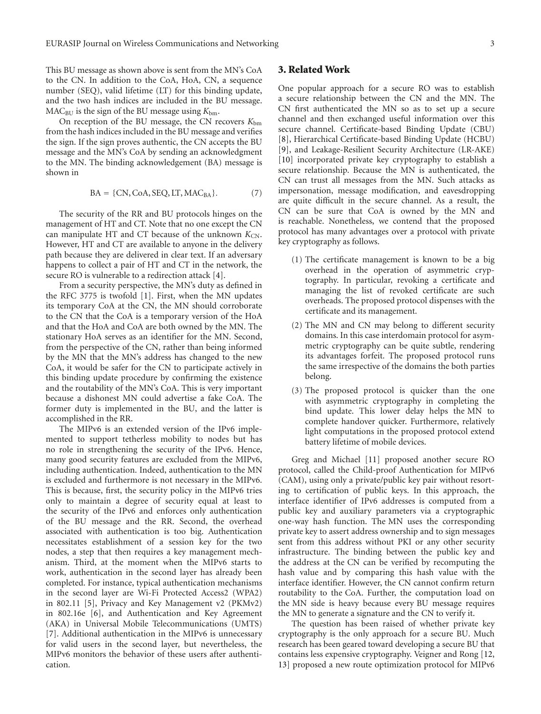This BU message as shown above is sent from the MN's CoA to the CN. In addition to the CoA, HoA, CN, a sequence number (SEQ), valid lifetime (LT) for this binding update, and the two hash indices are included in the BU message.  $MAC_{BU}$  is the sign of the BU message using  $K_{bm}$ .

On reception of the BU message, the CN recovers *K*bm from the hash indices included in the BU message and verifies the sign. If the sign proves authentic, the CN accepts the BU message and the MN's CoA by sending an acknowledgment to the MN. The binding acknowledgement (BA) message is shown in

$$
BA = \{CN, CoA, SEQ, LT, MACBA\}. \tag{7}
$$

The security of the RR and BU protocols hinges on the management of HT and CT. Note that no one except the CN can manipulate HT and CT because of the unknown  $K_{CN}$ . However, HT and CT are available to anyone in the delivery path because they are delivered in clear text. If an adversary happens to collect a pair of HT and CT in the network, the secure RO is vulnerable to a redirection attack [4].

From a security perspective, the MN's duty as defined in the RFC 3775 is twofold [1]. First, when the MN updates its temporary CoA at the CN, the MN should corroborate to the CN that the CoA is a temporary version of the HoA and that the HoA and CoA are both owned by the MN. The stationary HoA serves as an identifier for the MN. Second, from the perspective of the CN, rather than being informed by the MN that the MN's address has changed to the new CoA, it would be safer for the CN to participate actively in this binding update procedure by confirming the existence and the routability of the MN's CoA. This is very important because a dishonest MN could advertise a fake CoA. The former duty is implemented in the BU, and the latter is accomplished in the RR.

The MIPv6 is an extended version of the IPv6 implemented to support tetherless mobility to nodes but has no role in strengthening the security of the IPv6. Hence, many good security features are excluded from the MIPv6, including authentication. Indeed, authentication to the MN is excluded and furthermore is not necessary in the MIPv6. This is because, first, the security policy in the MIPv6 tries only to maintain a degree of security equal at least to the security of the IPv6 and enforces only authentication of the BU message and the RR. Second, the overhead associated with authentication is too big. Authentication necessitates establishment of a session key for the two nodes, a step that then requires a key management mechanism. Third, at the moment when the MIPv6 starts to work, authentication in the second layer has already been completed. For instance, typical authentication mechanisms in the second layer are Wi-Fi Protected Access2 (WPA2) in 802.11 [5], Privacy and Key Management v2 (PKMv2) in 802.16e [6], and Authentication and Key Agreement (AKA) in Universal Mobile Telecommunications (UMTS) [7]. Additional authentication in the MIPv6 is unnecessary for valid users in the second layer, but nevertheless, the MIPv6 monitors the behavior of these users after authentication.

## **3. Related Work**

One popular approach for a secure RO was to establish a secure relationship between the CN and the MN. The CN first authenticated the MN so as to set up a secure channel and then exchanged useful information over this secure channel. Certificate-based Binding Update (CBU) [8], Hierarchical Certificate-based Binding Update (HCBU) [9], and Leakage-Resilient Security Architecture (LR-AKE) [10] incorporated private key cryptography to establish a secure relationship. Because the MN is authenticated, the CN can trust all messages from the MN. Such attacks as impersonation, message modification, and eavesdropping are quite difficult in the secure channel. As a result, the CN can be sure that CoA is owned by the MN and is reachable. Nonetheless, we contend that the proposed protocol has many advantages over a protocol with private key cryptography as follows.

- (1) The certificate management is known to be a big overhead in the operation of asymmetric cryptography. In particular, revoking a certificate and managing the list of revoked certificate are such overheads. The proposed protocol dispenses with the certificate and its management.
- (2) The MN and CN may belong to different security domains. In this case interdomain protocol for asymmetric cryptography can be quite subtle, rendering its advantages forfeit. The proposed protocol runs the same irrespective of the domains the both parties belong.
- (3) The proposed protocol is quicker than the one with asymmetric cryptography in completing the bind update. This lower delay helps the MN to complete handover quicker. Furthermore, relatively light computations in the proposed protocol extend battery lifetime of mobile devices.

Greg and Michael [11] proposed another secure RO protocol, called the Child-proof Authentication for MIPv6 (CAM), using only a private/public key pair without resorting to certification of public keys. In this approach, the interface identifier of IPv6 addresses is computed from a public key and auxiliary parameters via a cryptographic one-way hash function. The MN uses the corresponding private key to assert address ownership and to sign messages sent from this address without PKI or any other security infrastructure. The binding between the public key and the address at the CN can be verified by recomputing the hash value and by comparing this hash value with the interface identifier. However, the CN cannot confirm return routability to the CoA. Further, the computation load on the MN side is heavy because every BU message requires the MN to generate a signature and the CN to verify it.

The question has been raised of whether private key cryptography is the only approach for a secure BU. Much research has been geared toward developing a secure BU that contains less expensive cryptography. Veigner and Rong [12, 13] proposed a new route optimization protocol for MIPv6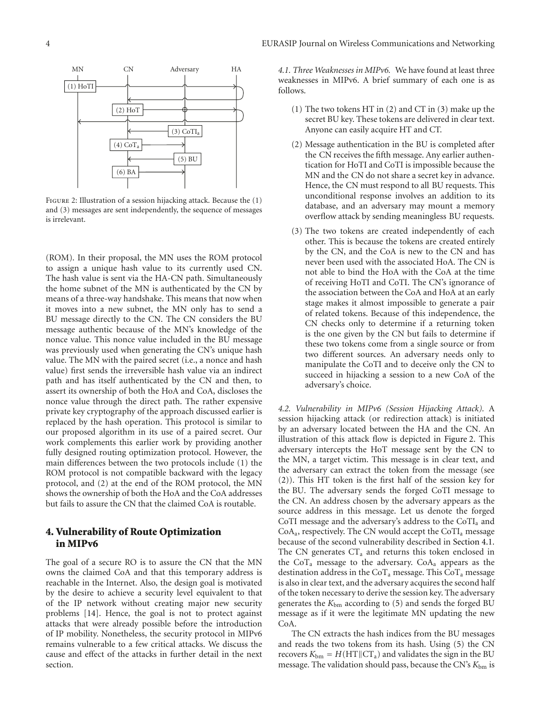

Figure 2: Illustration of a session hijacking attack. Because the (1) and (3) messages are sent independently, the sequence of messages is irrelevant.

(ROM). In their proposal, the MN uses the ROM protocol to assign a unique hash value to its currently used CN. The hash value is sent via the HA-CN path. Simultaneously the home subnet of the MN is authenticated by the CN by means of a three-way handshake. This means that now when it moves into a new subnet, the MN only has to send a BU message directly to the CN. The CN considers the BU message authentic because of the MN's knowledge of the nonce value. This nonce value included in the BU message was previously used when generating the CN's unique hash value. The MN with the paired secret (i.e., a nonce and hash value) first sends the irreversible hash value via an indirect path and has itself authenticated by the CN and then, to assert its ownership of both the HoA and CoA, discloses the nonce value through the direct path. The rather expensive private key cryptography of the approach discussed earlier is replaced by the hash operation. This protocol is similar to our proposed algorithm in its use of a paired secret. Our work complements this earlier work by providing another fully designed routing optimization protocol. However, the main differences between the two protocols include (1) the ROM protocol is not compatible backward with the legacy protocol, and (2) at the end of the ROM protocol, the MN shows the ownership of both the HoA and the CoA addresses but fails to assure the CN that the claimed CoA is routable.

## **4. Vulnerability of Route Optimization in MIPv6**

The goal of a secure RO is to assure the CN that the MN owns the claimed CoA and that this temporary address is reachable in the Internet. Also, the design goal is motivated by the desire to achieve a security level equivalent to that of the IP network without creating major new security problems [14]. Hence, the goal is not to protect against attacks that were already possible before the introduction of IP mobility. Nonetheless, the security protocol in MIPv6 remains vulnerable to a few critical attacks. We discuss the cause and effect of the attacks in further detail in the next section.

*4.1. Three Weaknesses in MIPv6.* We have found at least three weaknesses in MIPv6. A brief summary of each one is as follows.

- (1) The two tokens HT in (2) and CT in (3) make up the secret BU key. These tokens are delivered in clear text. Anyone can easily acquire HT and CT.
- (2) Message authentication in the BU is completed after the CN receives the fifth message. Any earlier authentication for HoTI and CoTI is impossible because the MN and the CN do not share a secret key in advance. Hence, the CN must respond to all BU requests. This unconditional response involves an addition to its database, and an adversary may mount a memory overflow attack by sending meaningless BU requests.
- (3) The two tokens are created independently of each other. This is because the tokens are created entirely by the CN, and the CoA is new to the CN and has never been used with the associated HoA. The CN is not able to bind the HoA with the CoA at the time of receiving HoTI and CoTI. The CN's ignorance of the association between the CoA and HoA at an early stage makes it almost impossible to generate a pair of related tokens. Because of this independence, the CN checks only to determine if a returning token is the one given by the CN but fails to determine if these two tokens come from a single source or from two different sources. An adversary needs only to manipulate the CoTI and to deceive only the CN to succeed in hijacking a session to a new CoA of the adversary's choice.

*4.2. Vulnerability in MIPv6 (Session Hijacking Attack).* A session hijacking attack (or redirection attack) is initiated by an adversary located between the HA and the CN. An illustration of this attack flow is depicted in Figure 2. This adversary intercepts the HoT message sent by the CN to the MN, a target victim. This message is in clear text, and the adversary can extract the token from the message (see (2)). This HT token is the first half of the session key for the BU. The adversary sends the forged CoTI message to the CN. An address chosen by the adversary appears as the source address in this message. Let us denote the forged CoTI message and the adversary's address to the CoTI<sub>a</sub> and CoAa, respectively. The CN would accept the CoTIa message because of the second vulnerability described in Section 4.1. The CN generates  $CT_a$  and returns this token enclosed in the  $CoT_a$  message to the adversary.  $CoA_a$  appears as the destination address in the  $CoT_a$  message. This  $CoT_a$  message is also in clear text, and the adversary acquires the second half of the token necessary to derive the session key. The adversary generates the  $K_{bm}$  according to (5) and sends the forged BU message as if it were the legitimate MN updating the new CoA.

The CN extracts the hash indices from the BU messages and reads the two tokens from its hash. Using (5) the CN recovers  $K_{\text{bm}} = H(HT \| CT_a)$  and validates the sign in the BU message. The validation should pass, because the CN's *K*bm is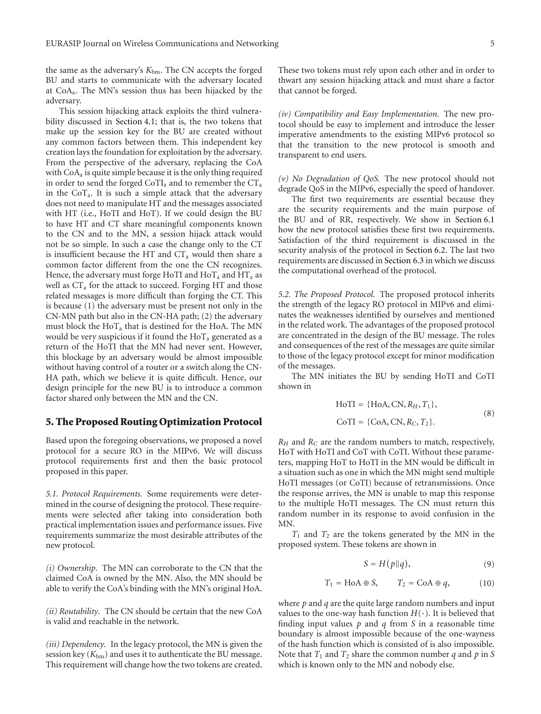the same as the adversary's  $K_{bm}$ . The CN accepts the forged BU and starts to communicate with the adversary located at CoAa. The MN's session thus has been hijacked by the adversary.

This session hijacking attack exploits the third vulnerability discussed in Section 4.1; that is, the two tokens that make up the session key for the BU are created without any common factors between them. This independent key creation lays the foundation for exploitation by the adversary. From the perspective of the adversary, replacing the CoA with CoAa is quite simple because it is the only thing required in order to send the forged CoTI<sub>a</sub> and to remember the  $CT_a$ in the  $CoT_a$ . It is such a simple attack that the adversary does not need to manipulate HT and the messages associated with HT (i.e., HoTI and HoT). If we could design the BU to have HT and CT share meaningful components known to the CN and to the MN, a session hijack attack would not be so simple. In such a case the change only to the CT is insufficient because the HT and  $CT_a$  would then share a common factor different from the one the CN recognizes. Hence, the adversary must forge HoTI and  $H_0T_a$  and  $HT_a$  as well as  $CT_a$  for the attack to succeed. Forging HT and those related messages is more difficult than forging the CT. This is because (1) the adversary must be present not only in the CN-MN path but also in the CN-HA path; (2) the adversary must block the HoTa that is destined for the HoA. The MN would be very suspicious if it found the  $HoT<sub>a</sub>$  generated as a return of the HoTI that the MN had never sent. However, this blockage by an adversary would be almost impossible without having control of a router or a switch along the CN-HA path, which we believe it is quite difficult. Hence, our design principle for the new BU is to introduce a common factor shared only between the MN and the CN.

#### **5. The Proposed Routing Optimization Protocol**

Based upon the foregoing observations, we proposed a novel protocol for a secure RO in the MIPv6. We will discuss protocol requirements first and then the basic protocol proposed in this paper.

*5.1. Protocol Requirements.* Some requirements were determined in the course of designing the protocol. These requirements were selected after taking into consideration both practical implementation issues and performance issues. Five requirements summarize the most desirable attributes of the new protocol.

*(i) Ownership.* The MN can corroborate to the CN that the claimed CoA is owned by the MN. Also, the MN should be able to verify the CoA's binding with the MN's original HoA.

*(ii) Routability.* The CN should be certain that the new CoA is valid and reachable in the network.

*(iii) Dependency.* In the legacy protocol, the MN is given the session key ( $K_{bm}$ ) and uses it to authenticate the BU message. This requirement will change how the two tokens are created.

These two tokens must rely upon each other and in order to thwart any session hijacking attack and must share a factor that cannot be forged.

*(iv) Compatibility and Easy Implementation.* The new protocol should be easy to implement and introduce the lesser imperative amendments to the existing MIPv6 protocol so that the transition to the new protocol is smooth and transparent to end users.

*(v) No Degradation of QoS.* The new protocol should not degrade QoS in the MIPv6, especially the speed of handover.

The first two requirements are essential because they are the security requirements and the main purpose of the BU and of RR, respectively. We show in Section 6.1 how the new protocol satisfies these first two requirements. Satisfaction of the third requirement is discussed in the security analysis of the protocol in Section 6.2. The last two requirements are discussed in Section 6.3 in which we discuss the computational overhead of the protocol.

*5.2. The Proposed Protocol.* The proposed protocol inherits the strength of the legacy RO protocol in MIPv6 and eliminates the weaknesses identified by ourselves and mentioned in the related work. The advantages of the proposed protocol are concentrated in the design of the BU message. The roles and consequences of the rest of the messages are quite similar to those of the legacy protocol except for minor modification of the messages.

The MN initiates the BU by sending HoTI and CoTI shown in

$$
HoTI = \{HoA, CN, R_H, T_1\},\
$$
  
CoTI = \{CoA, CN, R\_C, T\_2\}. (8)

*RH* and *RC* are the random numbers to match, respectively, HoT with HoTI and CoT with CoTI. Without these parameters, mapping HoT to HoTI in the MN would be difficult in a situation such as one in which the MN might send multiple HoTI messages (or CoTI) because of retransmissions. Once the response arrives, the MN is unable to map this response to the multiple HoTI messages. The CN must return this random number in its response to avoid confusion in the MN.

 $T_1$  and  $T_2$  are the tokens generated by the MN in the proposed system. These tokens are shown in

$$
S = H(p||q), \tag{9}
$$

$$
T_1 = \text{HoA} \oplus S, \qquad T_2 = \text{CoA} \oplus q, \tag{10}
$$

where *p* and *q* are the quite large random numbers and input values to the one-way hash function  $H(\cdot)$ . It is believed that finding input values *p* and *q* from *S* in a reasonable time boundary is almost impossible because of the one-wayness of the hash function which is consisted of is also impossible. Note that  $T_1$  and  $T_2$  share the common number *q* and *p* in *S* which is known only to the MN and nobody else.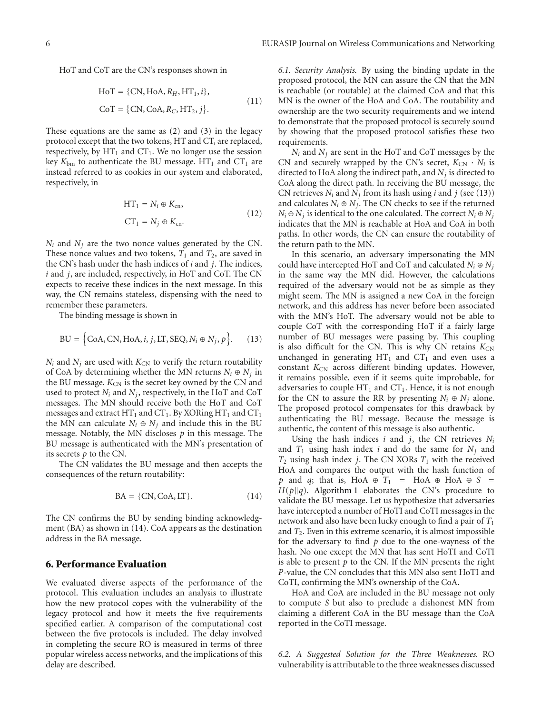HoT and CoT are the CN's responses shown in

$$
HoT = \{CN, HoA, R_H, HT_1, i\},\
$$
  

$$
CoT = \{CN, CoA, R_C, HT_2, j\}.
$$
 (11)

These equations are the same as (2) and (3) in the legacy protocol except that the two tokens, HT and CT, are replaced, respectively, by  $HT_1$  and  $CT_1$ . We no longer use the session key  $K_{bm}$  to authenticate the BU message. HT<sub>1</sub> and CT<sub>1</sub> are instead referred to as cookies in our system and elaborated, respectively, in

$$
HT_1 = N_i \oplus K_{cn},
$$
  
\n
$$
CT_1 = N_j \oplus K_{cn}.
$$
\n(12)

*Ni* and *Nj* are the two nonce values generated by the CN. These nonce values and two tokens,  $T_1$  and  $T_2$ , are saved in the CN's hash under the hash indices of *i* and *j*. The indices, *i* and *j*, are included, respectively, in HoT and CoT. The CN expects to receive these indices in the next message. In this way, the CN remains stateless, dispensing with the need to remember these parameters.

The binding message is shown in

$$
BU = \Big\{CoA, CN, HoA, i, j, LT, SEQ, N_i \oplus N_j, p\Big\}.
$$
 (13)

 $N_i$  and  $N_j$  are used with  $K_{CN}$  to verify the return routability of CoA by determining whether the MN returns  $N_i \oplus N_j$  in the BU message.  $K_{CN}$  is the secret key owned by the CN and used to protect  $N_i$  and  $N_j$ , respectively, in the HoT and CoT messages. The MN should receive both the HoT and CoT messages and extract  $HT_1$  and  $CT_1$ . By XORing  $HT_1$  and  $CT_1$ the MN can calculate  $N_i \oplus N_j$  and include this in the BU message. Notably, the MN discloses *p* in this message. The BU message is authenticated with the MN's presentation of its secrets *p* to the CN.

The CN validates the BU message and then accepts the consequences of the return routability:

$$
BA = \{CN, CoA, LT\}.
$$
 (14)

The CN confirms the BU by sending binding acknowledgment (BA) as shown in (14). CoA appears as the destination address in the BA message.

## **6. Performance Evaluation**

We evaluated diverse aspects of the performance of the protocol. This evaluation includes an analysis to illustrate how the new protocol copes with the vulnerability of the legacy protocol and how it meets the five requirements specified earlier. A comparison of the computational cost between the five protocols is included. The delay involved in completing the secure RO is measured in terms of three popular wireless access networks, and the implications of this delay are described.

*6.1. Security Analysis.* By using the binding update in the proposed protocol, the MN can assure the CN that the MN is reachable (or routable) at the claimed CoA and that this MN is the owner of the HoA and CoA. The routability and ownership are the two security requirements and we intend to demonstrate that the proposed protocol is securely sound by showing that the proposed protocol satisfies these two requirements.

*Ni* and *Nj* are sent in the HoT and CoT messages by the CN and securely wrapped by the CN's secret,  $K_{CN} \cdot N_i$  is directed to HoA along the indirect path, and  $N_i$  is directed to CoA along the direct path. In receiving the BU message, the CN retrieves  $N_i$  and  $N_j$  from its hash using *i* and *j* (see (13)) and calculates  $N_i \oplus N_j$ . The CN checks to see if the returned  $N_i \oplus N_j$  is identical to the one calculated. The correct  $N_i \oplus N_j$ indicates that the MN is reachable at HoA and CoA in both paths. In other words, the CN can ensure the routability of the return path to the MN.

In this scenario, an adversary impersonating the MN could have intercepted HoT and CoT and calculated  $N_i \oplus N_j$ in the same way the MN did. However, the calculations required of the adversary would not be as simple as they might seem. The MN is assigned a new CoA in the foreign network, and this address has never before been associated with the MN's HoT. The adversary would not be able to couple CoT with the corresponding HoT if a fairly large number of BU messages were passing by. This coupling is also difficult for the CN. This is why CN retains  $K_{CN}$ unchanged in generating  $HT_1$  and  $CT_1$  and even uses a constant *K*<sub>CN</sub> across different binding updates. However, it remains possible, even if it seems quite improbable, for adversaries to couple  $HT_1$  and  $CT_1$ . Hence, it is not enough for the CN to assure the RR by presenting  $N_i \oplus N_j$  alone. The proposed protocol compensates for this drawback by authenticating the BU message. Because the message is authentic, the content of this message is also authentic.

Using the hash indices  $i$  and  $j$ , the CN retrieves  $N_i$ and  $T_1$  using hash index *i* and do the same for  $N_j$  and *T*<sup>2</sup> using hash index *j*. The CN XORs *T*<sup>1</sup> with the received HoA and compares the output with the hash function of *p* and *q*; that is, HoA  $\oplus$   $T_1$  = HoA  $\oplus$  HoA  $\oplus$  S =  $H(p||q)$ . Algorithm 1 elaborates the CN's procedure to validate the BU message. Let us hypothesize that adversaries have intercepted a number of HoTI and CoTI messages in the network and also have been lucky enough to find a pair of *T*<sup>1</sup> and  $T_2$ . Even in this extreme scenario, it is almost impossible for the adversary to find *p* due to the one-wayness of the hash. No one except the MN that has sent HoTI and CoTI is able to present  $p$  to the CN. If the MN presents the right *P*-value, the CN concludes that this MN also sent HoTI and CoTI, confirming the MN's ownership of the CoA.

HoA and CoA are included in the BU message not only to compute *S* but also to preclude a dishonest MN from claiming a different CoA in the BU message than the CoA reported in the CoTI message.

*6.2. A Suggested Solution for the Three Weaknesses.* RO vulnerability is attributable to the three weaknesses discussed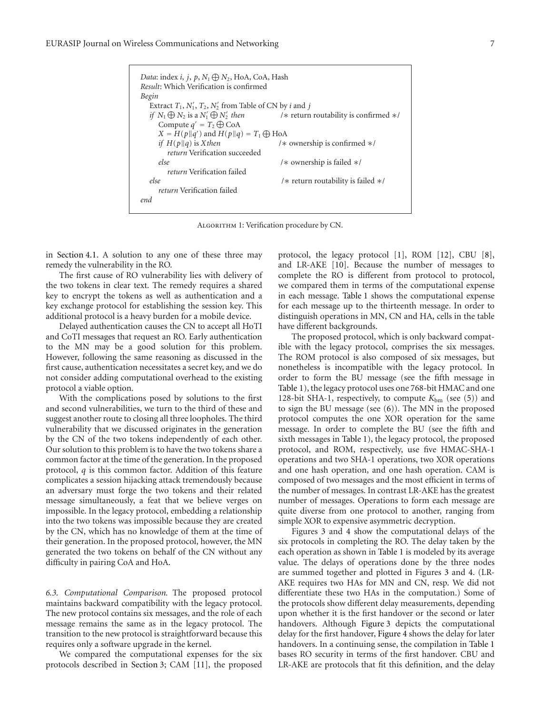*Data*: index *i*, *j*, *p*, *N*<sup>1</sup> *N*2, HoA, CoA, Hash *Result*: Which Verification is confirmed *Begin* Extract  $T_1$ ,  $N'_1$ ,  $T_2$ ,  $N'_2$  from Table of CN by *i* and *j if*  $N_1 \oplus N_2$  is a  $N'_1 \oplus N'_2$ /∗ return routability is confirmed ∗/ Compute  $q' = T_2 \bigoplus \text{CoA}$  $X = H(p||q')$  and  $H(p||q) = T_1 \bigoplus \text{HoA}$ *if*  $H(p||q)$  is Xthen /∗ ownership is confirmed ∗/ *return* Verification succeeded *else* /∗ ownership is failed ∗/ *return* Verification failed *else* /∗ return routability is failed ∗/ *return* Verification failed *end*

ALGORITHM 1: Verification procedure by CN.

in Section 4.1. A solution to any one of these three may remedy the vulnerability in the RO.

The first cause of RO vulnerability lies with delivery of the two tokens in clear text. The remedy requires a shared key to encrypt the tokens as well as authentication and a key exchange protocol for establishing the session key. This additional protocol is a heavy burden for a mobile device.

Delayed authentication causes the CN to accept all HoTI and CoTI messages that request an RO. Early authentication to the MN may be a good solution for this problem. However, following the same reasoning as discussed in the first cause, authentication necessitates a secret key, and we do not consider adding computational overhead to the existing protocol a viable option.

With the complications posed by solutions to the first and second vulnerabilities, we turn to the third of these and suggest another route to closing all three loopholes. The third vulnerability that we discussed originates in the generation by the CN of the two tokens independently of each other. Our solution to this problem is to have the two tokens share a common factor at the time of the generation. In the proposed protocol, *q* is this common factor. Addition of this feature complicates a session hijacking attack tremendously because an adversary must forge the two tokens and their related message simultaneously, a feat that we believe verges on impossible. In the legacy protocol, embedding a relationship into the two tokens was impossible because they are created by the CN, which has no knowledge of them at the time of their generation. In the proposed protocol, however, the MN generated the two tokens on behalf of the CN without any difficulty in pairing CoA and HoA.

*6.3. Computational Comparison.* The proposed protocol maintains backward compatibility with the legacy protocol. The new protocol contains six messages, and the role of each message remains the same as in the legacy protocol. The transition to the new protocol is straightforward because this requires only a software upgrade in the kernel.

We compared the computational expenses for the six protocols described in Section 3; CAM [11], the proposed

protocol, the legacy protocol [1], ROM [12], CBU [8], and LR-AKE [10]. Because the number of messages to complete the RO is different from protocol to protocol, we compared them in terms of the computational expense in each message. Table 1 shows the computational expense for each message up to the thirteenth message. In order to distinguish operations in MN, CN and HA, cells in the table have different backgrounds.

The proposed protocol, which is only backward compatible with the legacy protocol, comprises the six messages. The ROM protocol is also composed of six messages, but nonetheless is incompatible with the legacy protocol. In order to form the BU message (see the fifth message in Table 1), the legacy protocol uses one 768-bit HMAC and one 128-bit SHA-1, respectively, to compute  $K_{bm}$  (see (5)) and to sign the BU message (see (6)). The MN in the proposed protocol computes the one XOR operation for the same message. In order to complete the BU (see the fifth and sixth messages in Table 1), the legacy protocol, the proposed protocol, and ROM, respectively, use five HMAC-SHA-1 operations and two SHA-1 operations, two XOR operations and one hash operation, and one hash operation. CAM is composed of two messages and the most efficient in terms of the number of messages. In contrast LR-AKE has the greatest number of messages. Operations to form each message are quite diverse from one protocol to another, ranging from simple XOR to expensive asymmetric decryption.

Figures 3 and 4 show the computational delays of the six protocols in completing the RO. The delay taken by the each operation as shown in Table 1 is modeled by its average value. The delays of operations done by the three nodes are summed together and plotted in Figures 3 and 4. (LR-AKE requires two HAs for MN and CN, resp. We did not differentiate these two HAs in the computation.) Some of the protocols show different delay measurements, depending upon whether it is the first handover or the second or later handovers. Although Figure 3 depicts the computational delay for the first handover, Figure 4 shows the delay for later handovers. In a continuing sense, the compilation in Table 1 bases RO security in terms of the first handover. CBU and LR-AKE are protocols that fit this definition, and the delay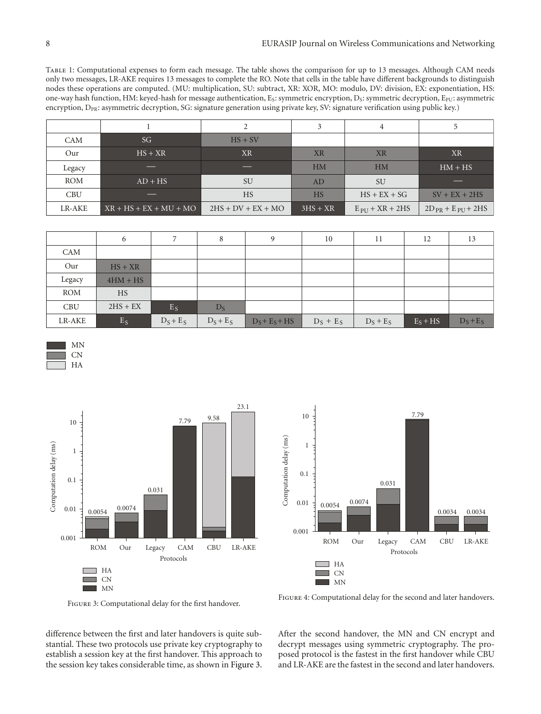Table 1: Computational expenses to form each message. The table shows the comparison for up to 13 messages. Although CAM needs only two messages, LR-AKE requires 13 messages to complete the RO. Note that cells in the table have different backgrounds to distinguish nodes these operations are computed. (MU: multiplication, SU: subtract, XR: XOR, MO: modulo, DV: division, EX: exponentiation, HS: one-way hash function, HM: keyed-hash for message authentication, Es: symmetric encryption, Ds: symmetric decryption, E<sub>PU</sub>: asymmetric encryption, D<sub>PR</sub>: asymmetric decryption, SG: signature generation using private key, SV: signature verification using public key.)

|            |                          |                      |            | 4                          |                                   |
|------------|--------------------------|----------------------|------------|----------------------------|-----------------------------------|
| <b>CAM</b> | SG                       | $HS + SV$            |            |                            |                                   |
| Our        | $HS + XR$                | <b>XR</b>            | <b>XR</b>  | XR                         | <b>XR</b>                         |
| Legacy     |                          |                      | <b>HM</b>  | HM                         | $HM + HS$                         |
| <b>ROM</b> | $AD + HS$                | <b>SU</b>            | AD.        | <b>SU</b>                  |                                   |
| <b>CBU</b> |                          | <b>HS</b>            | <b>HS</b>  | $HS + EX + SG$             | $SV + EX + 2HS$                   |
| LR-AKE     | $XR + HS + EX + MU + MO$ | $2HS + DV + EX + MO$ | $3HS + XR$ | $E_{\text{PU}} + XR + 2HS$ | $2D_{PR}$ + E <sub>PU</sub> + 2HS |

|            | 6          | 7           | 8           | 9                | 10          | 11          | 12         | 13        |
|------------|------------|-------------|-------------|------------------|-------------|-------------|------------|-----------|
| CAM        |            |             |             |                  |             |             |            |           |
| Our        | $HS + XR$  |             |             |                  |             |             |            |           |
| Legacy     | $4HM + HS$ |             |             |                  |             |             |            |           |
| <b>ROM</b> | <b>HS</b>  |             |             |                  |             |             |            |           |
| <b>CBU</b> | $2HS + EX$ | $E_S$       | $D_{S}$     |                  |             |             |            |           |
| LR-AKE     | $E_S$      | $D_S + E_S$ | $D_S + E_S$ | $D_S + E_S + HS$ | $D_S + E_S$ | $D_S + E_S$ | $E_S + HS$ | $D_S+E_S$ |







FIGURE 3: Computational delay for the first handover.

difference between the first and later handovers is quite substantial. These two protocols use private key cryptography to establish a session key at the first handover. This approach to the session key takes considerable time, as shown in Figure 3.

Figure 4: Computational delay for the second and later handovers.

After the second handover, the MN and CN encrypt and decrypt messages using symmetric cryptography. The proposed protocol is the fastest in the first handover while CBU and LR-AKE are the fastest in the second and later handovers.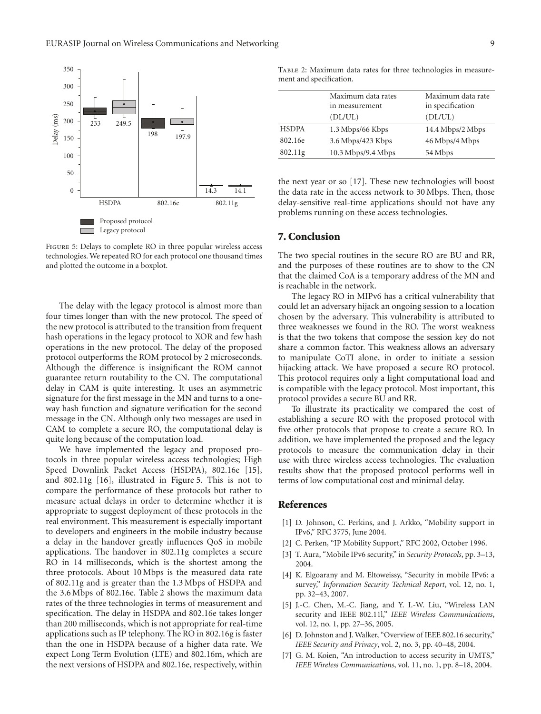

Figure 5: Delays to complete RO in three popular wireless access technologies. We repeated RO for each protocol one thousand times and plotted the outcome in a boxplot.

The delay with the legacy protocol is almost more than four times longer than with the new protocol. The speed of the new protocol is attributed to the transition from frequent hash operations in the legacy protocol to XOR and few hash operations in the new protocol. The delay of the proposed protocol outperforms the ROM protocol by 2 microseconds. Although the difference is insignificant the ROM cannot guarantee return routability to the CN. The computational delay in CAM is quite interesting. It uses an asymmetric signature for the first message in the MN and turns to a oneway hash function and signature verification for the second message in the CN. Although only two messages are used in CAM to complete a secure RO, the computational delay is quite long because of the computation load.

We have implemented the legacy and proposed protocols in three popular wireless access technologies; High Speed Downlink Packet Access (HSDPA), 802.16e [15], and 802.11g [16], illustrated in Figure 5. This is not to compare the performance of these protocols but rather to measure actual delays in order to determine whether it is appropriate to suggest deployment of these protocols in the real environment. This measurement is especially important to developers and engineers in the mobile industry because a delay in the handover greatly influences QoS in mobile applications. The handover in 802.11g completes a secure RO in 14 milliseconds, which is the shortest among the three protocols. About 10 Mbps is the measured data rate of 802.11g and is greater than the 1.3 Mbps of HSDPA and the 3.6 Mbps of 802.16e. Table 2 shows the maximum data rates of the three technologies in terms of measurement and specification. The delay in HSDPA and 802.16e takes longer than 200 milliseconds, which is not appropriate for real-time applications such as IP telephony. The RO in 802.16g is faster than the one in HSDPA because of a higher data rate. We expect Long Term Evolution (LTE) and 802.16m, which are the next versions of HSDPA and 802.16e, respectively, within

TABLE 2: Maximum data rates for three technologies in measurement and specification.

|              | Maximum data rates<br>in measurement | Maximum data rate<br>in specification |  |  |
|--------------|--------------------------------------|---------------------------------------|--|--|
|              | (DL/UL)                              | (DL/UL)                               |  |  |
| <b>HSDPA</b> | 1.3 Mbps/66 Kbps                     | 14.4 Mbps/2 Mbps                      |  |  |
| 802.16e      | 3.6 Mbps/423 Kbps                    | 46 Mbps/4 Mbps                        |  |  |
| 802.11g      | 10.3 Mbps/9.4 Mbps                   | 54 Mbps                               |  |  |

the next year or so [17]. These new technologies will boost the data rate in the access network to 30 Mbps. Then, those delay-sensitive real-time applications should not have any problems running on these access technologies.

## **7. Conclusion**

The two special routines in the secure RO are BU and RR, and the purposes of these routines are to show to the CN that the claimed CoA is a temporary address of the MN and is reachable in the network.

The legacy RO in MIPv6 has a critical vulnerability that could let an adversary hijack an ongoing session to a location chosen by the adversary. This vulnerability is attributed to three weaknesses we found in the RO. The worst weakness is that the two tokens that compose the session key do not share a common factor. This weakness allows an adversary to manipulate CoTI alone, in order to initiate a session hijacking attack. We have proposed a secure RO protocol. This protocol requires only a light computational load and is compatible with the legacy protocol. Most important, this protocol provides a secure BU and RR.

To illustrate its practicality we compared the cost of establishing a secure RO with the proposed protocol with five other protocols that propose to create a secure RO. In addition, we have implemented the proposed and the legacy protocols to measure the communication delay in their use with three wireless access technologies. The evaluation results show that the proposed protocol performs well in terms of low computational cost and minimal delay.

## **References**

- [1] D. Johnson, C. Perkins, and J. Arkko, "Mobility support in IPv6," RFC 3775, June 2004.
- [2] C. Perken, "IP Mobility Support," RFC 2002, October 1996.
- [3] T. Aura, "Mobile IPv6 security," in *Security Protocols*, pp. 3–13, 2004.
- [4] K. Elgoarany and M. Eltoweissy, "Security in mobile IPv6: a survey," *Information Security Technical Report*, vol. 12, no. 1, pp. 32–43, 2007.
- [5] J.-C. Chen, M.-C. Jiang, and Y. I.-W. Liu, "Wireless LAN security and IEEE 802.11l," *IEEE Wireless Communications*, vol. 12, no. 1, pp. 27–36, 2005.
- [6] D. Johnston and J. Walker, "Overview of IEEE 802.16 security," *IEEE Security and Privacy*, vol. 2, no. 3, pp. 40–48, 2004.
- [7] G. M. Koien, "An introduction to access security in UMTS," *IEEE Wireless Communications*, vol. 11, no. 1, pp. 8–18, 2004.